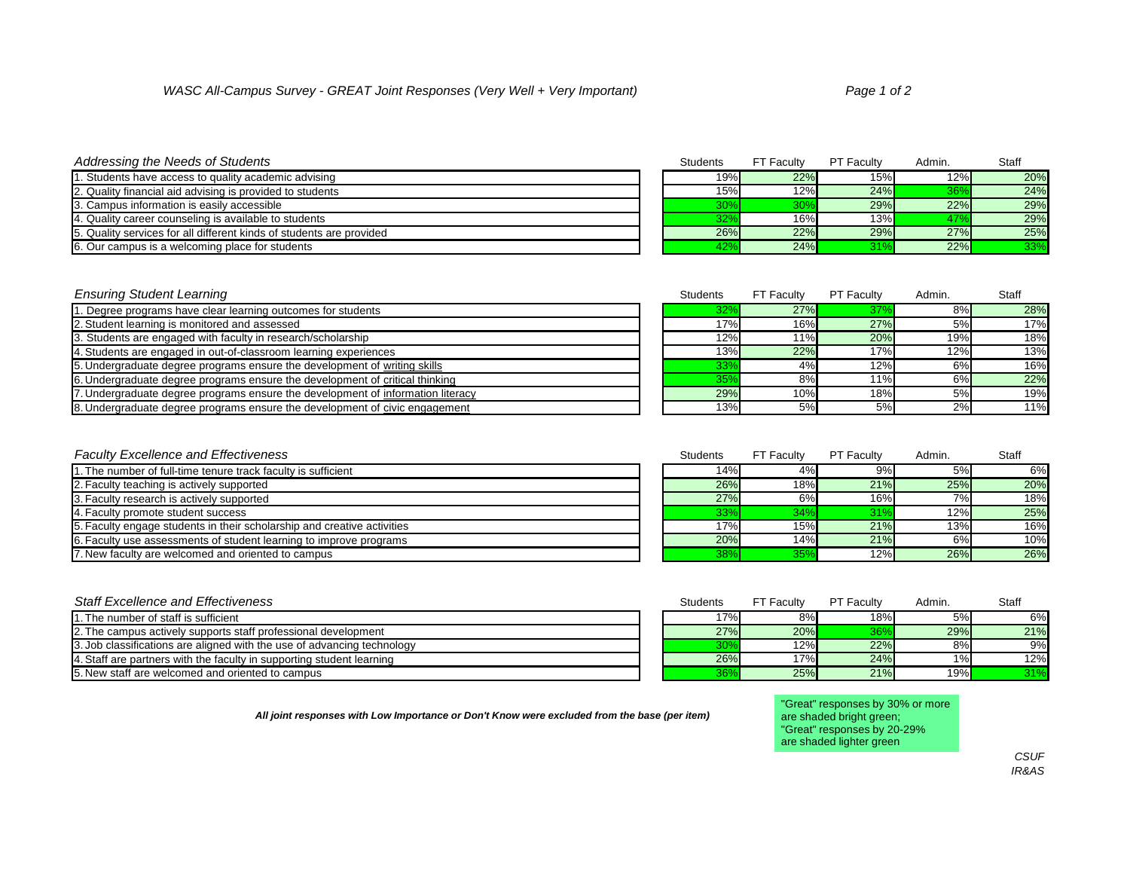## *Addressing the Needs of Students* Students Students FT Faculty **Students** FT Faculty **PT Faculty PT Faculty PT Faculty PT Faculty PT Faculty**

| . Students have access to quality academic advising                   | 19% | 22% | 15% | 12% | 20% |
|-----------------------------------------------------------------------|-----|-----|-----|-----|-----|
| 2. Quality financial aid advising is provided to students             | 15% | 12% | 24% |     | 24% |
| 13. Campus information is easily accessible                           |     | 30% | 29% | 22% | 29% |
| 14. Quality career counseling is available to students                | ےں  | 16% | 13% |     | 29% |
| 15. Quality services for all different kinds of students are provided | 26% | 22% | 29% | 27% | 25% |
| 6. Our campus is a welcoming place for students                       |     | 24% | 240 | 22% | 33% |

# **Find Student Learning Ensuring Student Learning Consumers FT Faculty Consumers FT Faculty** Admin. Students **PT Faculty**

| ،ەەم 1<br>e programs have d<br>dear learr:<br>ning outcomes for students:<br>. Degiee | $\sim$ | 27%<br>$\sim$ 1 |     | 8%  | 28%  |
|---------------------------------------------------------------------------------------|--------|-----------------|-----|-----|------|
| 2. Student learning is monitored and assessed                                         | 170,   | 16%             | 27% | 5%  | 170/ |
| r faculty in research/scholarship<br>3. Students are engaged with                     | 12%    | 11%             | 20% | 19% | 18%  |
| 4. Students are engaged in out-of-classroom learning experiences                      | 13%    | 22%             | 17% | 12% | 13%  |
|                                                                                       |        |                 |     |     |      |

5. Undergraduate degree programs ensure the development of writing skills 33% 12% 12% 12% 12% 12% 12% 12% 12% 4%

6. Undergraduate degree programs ensure the development of critical thinking 35% 11% 8% 11% 8% 35% 11% 8% 11% 6% 22% 11% 6% 22% 11% 6% 22% 11% 6% 22% 11% 6% 22% 11% 6% 22% 11% 6% 22% 11% 6% 22% 11% 6% 22% 11% 6% 22% 11% 6%

7. Undergraduate degree programs ensure the development of information literacy and the control of the control of the control of the control of the control of the control of the control of the control of the control of the 8. Undergraduate degree programs ensure the development of civic engagement 13% 13% 13% 13% 13% 5%

### *Faculty Excellence and Effectiveness* Students FT Faculty *Faculty* Students FT Faculty

| 1. The number of full-time tenure track faculty is sufficient           | $14\%$ | 4%  | 9%  | 5%  | 6%  |
|-------------------------------------------------------------------------|--------|-----|-----|-----|-----|
| 2. Faculty teaching is actively supported                               | 26%    | 18% | 21% | 25% | 20% |
| 3. Faculty research is actively supported                               | 27%    | 6%  | 16% | 7%  | 18% |
| 4. Faculty promote student success                                      | 33%    | 34% | 31% | 12% | 25% |
| 5. Faculty engage students in their scholarship and creative activities | 17%    | 15% | 21% | 13% | 16% |
| 6. Faculty use assessments of student learning to improve programs      | 20%    | 14% | 21% | 6%  | 10% |
| 7. New faculty are welcomed and oriented to campus                      | 38%    | 35% | 12% | 26% | 26% |

| <b>Staff Excellence and Effectiveness</b>                               | <b>Students</b> | <b>FT Faculty</b> | <b>PT Faculty</b> | Admin. | <b>Staff</b> |
|-------------------------------------------------------------------------|-----------------|-------------------|-------------------|--------|--------------|
| '. The number of staff is sufficient                                    | 17%             | 8%                | 18%               | 5%     | 6%           |
| 2. The campus actively supports staff professional development          | 27%             | 20%               | 36%               | 29%    | 21%          |
| 3. Job classifications are aligned with the use of advancing technology | 30%             | 12%               | 22%               | 8%     | 9%           |
| 4. Staff are partners with the faculty in supporting student learning   | 26%             | 17%               | 24%               | $1\%$  | 12%          |
| 5. New staff are welcomed and oriented to campus                        | 36%             | 25%               | 21%               | 19%    | 31%          |

*All joint responses with Low Importance or Don't Know were excluded from the base (per item)*

"Great" are shad "Great" are shad

| <b>PT Faculty</b> | Admin. | <b>Staff</b> |
|-------------------|--------|--------------|
| 15%               | 12%    | 20%          |
| 24%               | 36%    | 24%          |
| 29%               | 22%    | 29%          |
| 13%               | 47%    | 29%          |
| 29%               | 27%    | 25%          |
| 31%               | 22%    | 33%          |

| <b>PT Faculty</b> | Admin. | <b>Staff</b> |
|-------------------|--------|--------------|
| 37%               | 8%     | 28%          |
| 27%               | 5%     | 17%          |
| 20%               | 19%    | 18%          |
| 17%               | 12%    | 13%          |
| 12%               | 6%     | 16%          |
| 11%               | 6%     | 22%          |
| 18%               | 5%     | 19%          |
| 5%                | 2%     | 11%          |

| <b>PT Faculty</b> | Admin. | <b>Staff</b> |
|-------------------|--------|--------------|
| 9%                | 5%     | 6%           |
| 21%               | 25%    | 20%          |
| 16%               | 7%     | 18%          |
| 31%               | 12%    | 25%          |
| 21%               | 13%    | 16%          |
| 21%               | 6%     | 10%          |
| 12%               | 26%    | 26%          |